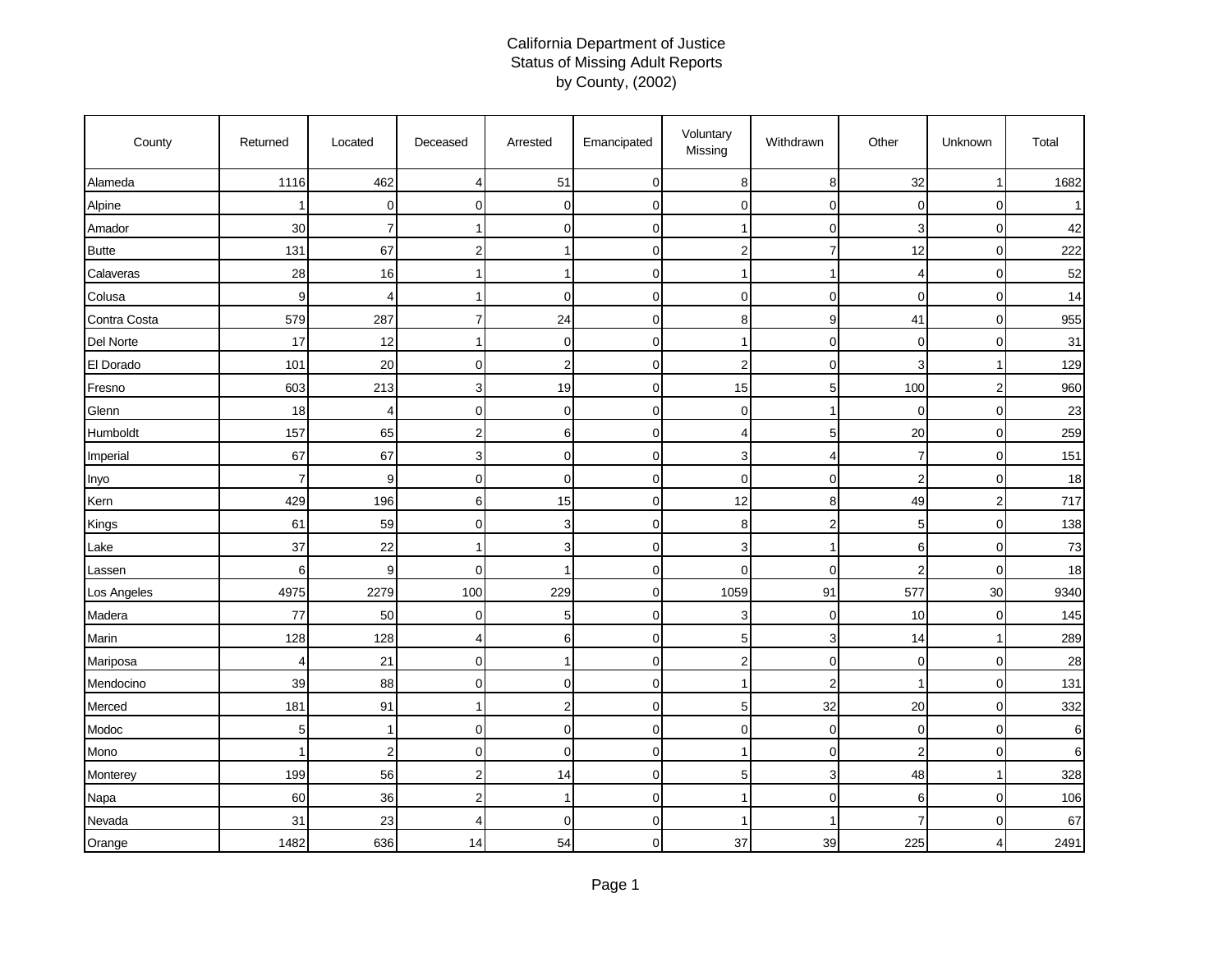## California Department of Justice Status of Missing Adult Reports by County, (2002)

| County       | Returned       | Located               | Deceased       | Arrested       | Emancipated  | Voluntary<br>Missing    | Withdrawn      | Other          | Unknown        | Total |
|--------------|----------------|-----------------------|----------------|----------------|--------------|-------------------------|----------------|----------------|----------------|-------|
| Alameda      | 1116           | 462                   | 4              | 51             | $\pmb{0}$    | 8                       | 8              | 32             | $\mathbf{1}$   | 1682  |
| Alpine       |                | $\mathbf 0$           | $\mathbf{0}$   | 0              | $\mathbf 0$  | $\mathbf 0$             | $\overline{0}$ | 0              | $\mathbf 0$    |       |
| Amador       | 30             | $\overline{7}$        | 1              | $\mathbf 0$    | 0            | 1                       | $\mathbf 0$    | 3              | $\mathbf 0$    | 42    |
| <b>Butte</b> | 131            | 67                    | $\overline{2}$ |                | $\mathbf 0$  | $\overline{2}$          | 7              | 12             | $\mathbf{0}$   | 222   |
| Calaveras    | 28             | 16                    | 1              |                | 0            | 1                       | -1             | 4              | $\mathbf 0$    | 52    |
| Colusa       | 9              | $\boldsymbol{\Delta}$ | 1              | $\Omega$       | $\mathbf 0$  | $\mathbf 0$             | $\mathbf 0$    | 0              | $\mathbf 0$    | 14    |
| Contra Costa | 579            | 287                   | 7              | 24             | 0            | 8                       | 9              | 41             | $\mathbf 0$    | 955   |
| Del Norte    | 17             | 12                    | 1              | $\mathbf 0$    | $\mathbf 0$  | 1                       | $\mathbf 0$    | $\overline{0}$ | $\overline{0}$ | 31    |
| El Dorado    | 101            | 20                    | $\mathbf{0}$   | $\mathbf 2$    | $\mathbf 0$  | $\overline{2}$          | $\mathbf 0$    | 3              | 1              | 129   |
| Fresno       | 603            | 213                   | 3              | 19             | $\mathbf 0$  | 15                      | 5              | 100            | $\overline{2}$ | 960   |
| Glenn        | 18             | $\overline{4}$        | $\overline{0}$ | $\mathbf 0$    | 0            | $\mathbf 0$             | -1             | 0              | $\overline{0}$ | 23    |
| Humboldt     | 157            | 65                    | $\overline{2}$ | 6              | $\mathbf{O}$ | $\overline{4}$          | 5              | 20             | $\mathbf 0$    | 259   |
| Imperial     | 67             | 67                    | 3              | $\mathbf 0$    | 0            | 3                       | 4              | 7              | $\pmb{0}$      | 151   |
| Inyo         | $\overline{7}$ | 9                     | $\mathbf{0}$   | $\Omega$       | $\mathbf 0$  | $\mathbf 0$             | $\mathbf 0$    | $\overline{2}$ | $\mathbf 0$    | 18    |
| Kern         | 429            | 196                   | 6              | 15             | $\mathbf 0$  | 12                      | 8              | 49             | $\overline{2}$ | 717   |
| Kings        | 61             | 59                    | $\overline{0}$ | 3              | 0            | 8                       | $\overline{2}$ | 5              | $\mathbf 0$    | 138   |
| Lake         | 37             | 22                    |                | 3              | 0            | 3                       |                | 6              | $\mathbf 0$    | 73    |
| Lassen       | 6              | 9                     | $\mathbf 0$    |                | $\mathbf 0$  | $\mathbf 0$             | $\overline{0}$ | $\overline{2}$ | $\mathbf 0$    | 18    |
| Los Angeles  | 4975           | 2279                  | 100            | 229            | 0            | 1059                    | 91             | 577            | 30             | 9340  |
| Madera       | 77             | 50                    | $\mathbf{0}$   | 5              | 0            | 3                       | $\mathbf 0$    | 10             | $\mathbf 0$    | 145   |
| Marin        | 128            | 128                   | 4              | 6              | $\mathbf 0$  | 5                       | 3              | 14             | $\mathbf{1}$   | 289   |
| Mariposa     | $\overline{4}$ | 21                    | $\mathbf 0$    |                | $\mathbf 0$  | $\overline{\mathbf{c}}$ | $\mathbf 0$    | $\mathbf 0$    | $\pmb{0}$      | 28    |
| Mendocino    | 39             | 88                    | $\Omega$       | $\Omega$       | $\mathbf 0$  | 1                       | $\overline{2}$ |                | $\mathbf 0$    | 131   |
| Merced       | 181            | 91                    | 1              | $\overline{2}$ | 0            | 5                       | 32             | 20             | $\mathbf 0$    | 332   |
| Modoc        | 5              | -1                    | $\mathbf 0$    | $\mathbf 0$    | $\mathbf 0$  | $\mathbf 0$             | $\mathbf 0$    | 0              | $\mathbf 0$    | 6     |
| Mono         | 1              | $\overline{2}$        | $\mathbf{0}$   | $\mathbf 0$    | 0            | -1                      | $\mathbf 0$    | $\overline{2}$ | $\mathbf 0$    | 6     |
| Monterey     | 199            | 56                    | 2              | 14             | $\mathbf 0$  | 5                       | 3              | 48             | $\mathbf{1}$   | 328   |
| Napa         | 60             | 36                    | 2              |                | $\mathbf 0$  | 1                       | $\mathbf 0$    | 6              | $\mathbf 0$    | 106   |
| Nevada       | 31             | 23                    | 4              | $\mathbf 0$    | $\mathbf 0$  | -1                      |                | 7              | $\mathbf 0$    | 67    |
| Orange       | 1482           | 636                   | 14             | 54             | 0            | 37                      | 39             | 225            | 4              | 2491  |